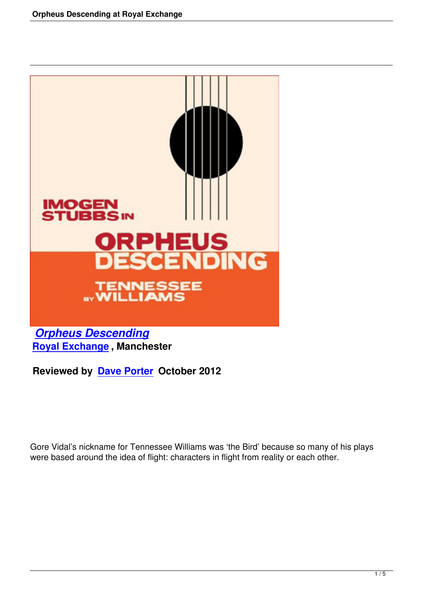

*Orpheus Descending* **Royal Exchange , Manchester**

**[Reviewed by Dave Porte](orpheus-descending-royal-exchange.html)r October 2012**

Gore Vidal's nickname for Tennessee Williams was 'the Bird' because so many of his plays were based around the idea of flight: characters in flight from reality or each other.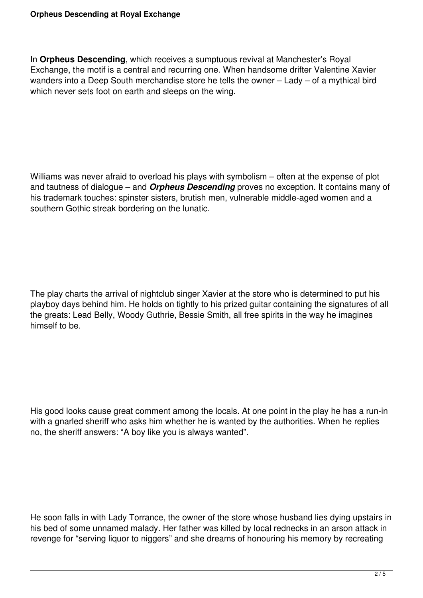In **Orpheus Descending**, which receives a sumptuous revival at Manchester's Royal Exchange, the motif is a central and recurring one. When handsome drifter Valentine Xavier wanders into a Deep South merchandise store he tells the owner – Lady – of a mythical bird which never sets foot on earth and sleeps on the wing.

Williams was never afraid to overload his plays with symbolism – often at the expense of plot and tautness of dialogue – and *Orpheus Descending* proves no exception. It contains many of his trademark touches: spinster sisters, brutish men, vulnerable middle-aged women and a southern Gothic streak bordering on the lunatic.

The play charts the arrival of nightclub singer Xavier at the store who is determined to put his playboy days behind him. He holds on tightly to his prized guitar containing the signatures of all the greats: Lead Belly, Woody Guthrie, Bessie Smith, all free spirits in the way he imagines himself to be.

His good looks cause great comment among the locals. At one point in the play he has a run-in with a gnarled sheriff who asks him whether he is wanted by the authorities. When he replies no, the sheriff answers: "A boy like you is always wanted".

He soon falls in with Lady Torrance, the owner of the store whose husband lies dying upstairs in his bed of some unnamed malady. Her father was killed by local rednecks in an arson attack in revenge for "serving liquor to niggers" and she dreams of honouring his memory by recreating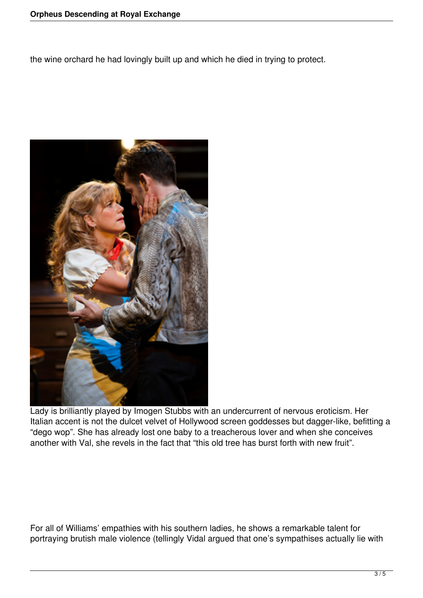the wine orchard he had lovingly built up and which he died in trying to protect.



Lady is brilliantly played by Imogen Stubbs with an undercurrent of nervous eroticism. Her Italian accent is not the dulcet velvet of Hollywood screen goddesses but dagger-like, befitting a "dego wop". She has already lost one baby to a treacherous lover and when she conceives another with Val, she revels in the fact that "this old tree has burst forth with new fruit".

For all of Williams' empathies with his southern ladies, he shows a remarkable talent for portraying brutish male violence (tellingly Vidal argued that one's sympathises actually lie with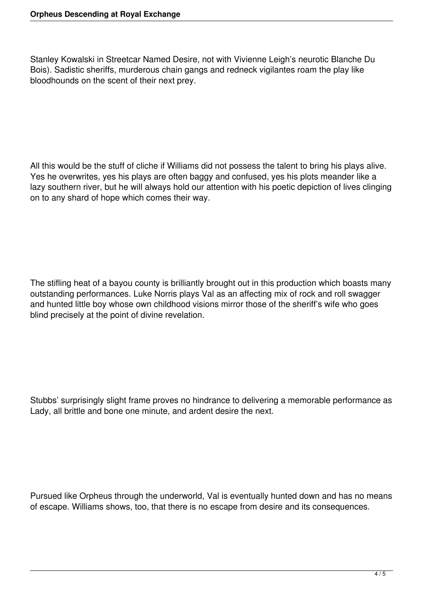Stanley Kowalski in Streetcar Named Desire, not with Vivienne Leigh's neurotic Blanche Du Bois). Sadistic sheriffs, murderous chain gangs and redneck vigilantes roam the play like bloodhounds on the scent of their next prey.

All this would be the stuff of cliche if Williams did not possess the talent to bring his plays alive. Yes he overwrites, yes his plays are often baggy and confused, yes his plots meander like a lazy southern river, but he will always hold our attention with his poetic depiction of lives clinging on to any shard of hope which comes their way.

The stifling heat of a bayou county is brilliantly brought out in this production which boasts many outstanding performances. Luke Norris plays Val as an affecting mix of rock and roll swagger and hunted little boy whose own childhood visions mirror those of the sheriff's wife who goes blind precisely at the point of divine revelation.

Stubbs' surprisingly slight frame proves no hindrance to delivering a memorable performance as Lady, all brittle and bone one minute, and ardent desire the next.

Pursued like Orpheus through the underworld, Val is eventually hunted down and has no means of escape. Williams shows, too, that there is no escape from desire and its consequences.